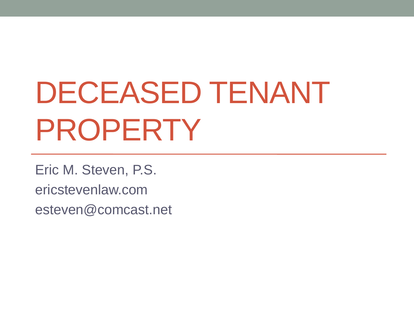# DECEASED TENANT PROPERTY

Eric M. Steven, P.S. ericstevenlaw.com esteven@comcast.net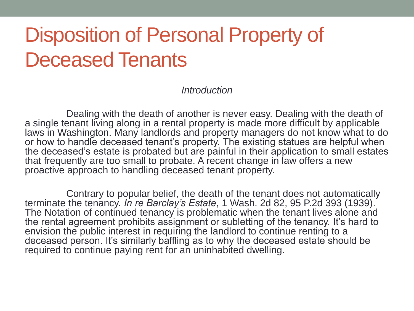## Disposition of Personal Property of Deceased Tenants

*Introduction*

Dealing with the death of another is never easy. Dealing with the death of a single tenant living along in a rental property is made more difficult by applicable laws in Washington. Many landlords and property managers do not know what to do or how to handle deceased tenant's property. The existing statues are helpful when the deceased's estate is probated but are painful in their application to small estates that frequently are too small to probate. A recent change in law offers a new proactive approach to handling deceased tenant property.

Contrary to popular belief, the death of the tenant does not automatically terminate the tenancy. *In re Barclay's Estate*, 1 Wash. 2d 82, 95 P.2d 393 (1939). The Notation of continued tenancy is problematic when the tenant lives alone and the rental agreement prohibits assignment or subletting of the tenancy. It's hard to envision the public interest in requiring the landlord to continue renting to a deceased person. It's similarly baffling as to why the deceased estate should be required to continue paying rent for an uninhabited dwelling.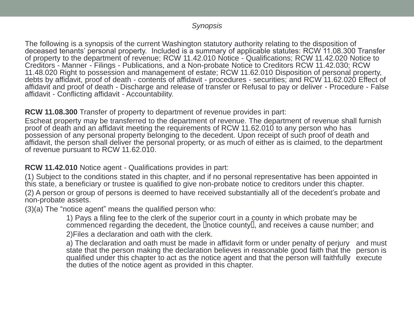### *Synopsis*

The following is a synopsis of the current Washington statutory authority relating to the disposition of deceased tenants' personal property. Included is a summary of applicable statutes: RCW 11.08.300 Transfer of property to the department of revenue; RCW 11.42.010 Notice - Qualifications; RCW 11.42.020 Notice to Creditors - Manner - Filings - Publications, and a Non-probate Notice to Creditors RCW 11.42.030; RCW 11.48.020 Right to possession and management of estate; RCW 11.62.010 Disposition of personal property, debts by affidavit, proof of death - contents of affidavit - procedures - securities; and RCW 11.62.020 Effect of affidavit and proof of death - Discharge and release of transfer or Refusal to pay or deliver - Procedure - False affidavit - Conflicting affidavit - Accountability.

**RCW 11.08.300** Transfer of property to department of revenue provides in part:

Escheat property may be transferred to the department of revenue. The department of revenue shall furnish proof of death and an affidavit meeting the requirements of RCW 11.62.010 to any person who has possession of any personal property belonging to the decedent. Upon receipt of such proof of death and affidavit, the person shall deliver the personal property, or as much of either as is claimed, to the department of revenue pursuant to RCW 11.62.010.

### **RCW 11.42.010** Notice agent - Qualifications provides in part:

(1) Subject to the conditions stated in this chapter, and if no personal representative has been appointed in this state, a beneficiary or trustee is qualified to give non-probate notice to creditors under this chapter. (2) A person or group of persons is deemed to have received substantially all of the decedent's probate and non-probate assets.

(3)(a) The "notice agent" means the qualified person who:

1) Pays a filing fee to the clerk of the superior court in a county in which probate may be  $c$ ommenced regarding the decedent, the  $\Box$ notice county  $\Box$ , and receives a cause number; and 2)Files a declaration and oath with the clerk.

a) The declaration and oath must be made in affidavit form or under penalty of perjury and must state that the person making the declaration believes in reasonable good faith that the person is qualified under this chapter to act as the notice agent and that the person will faithfully execute the duties of the notice agent as provided in this chapter.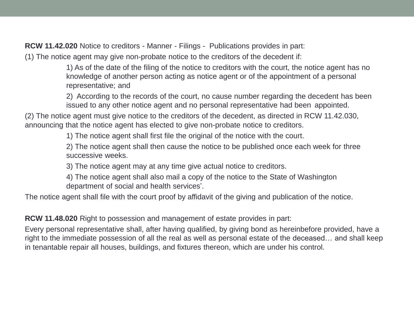**RCW 11.42.020** Notice to creditors - Manner - Filings - Publications provides in part:

(1) The notice agent may give non-probate notice to the creditors of the decedent if:

1) As of the date of the filing of the notice to creditors with the court, the notice agent has no knowledge of another person acting as notice agent or of the appointment of a personal representative; and

2) According to the records of the court, no cause number regarding the decedent has been issued to any other notice agent and no personal representative had been appointed.

(2) The notice agent must give notice to the creditors of the decedent, as directed in RCW 11.42.030, announcing that the notice agent has elected to give non-probate notice to creditors.

1) The notice agent shall first file the original of the notice with the court.

2) The notice agent shall then cause the notice to be published once each week for three successive weeks.

3) The notice agent may at any time give actual notice to creditors.

4) The notice agent shall also mail a copy of the notice to the State of Washington department of social and health services'.

The notice agent shall file with the court proof by affidavit of the giving and publication of the notice.

**RCW 11.48.020** Right to possession and management of estate provides in part:

Every personal representative shall, after having qualified, by giving bond as hereinbefore provided, have a right to the immediate possession of all the real as well as personal estate of the deceased… and shall keep in tenantable repair all houses, buildings, and fixtures thereon, which are under his control.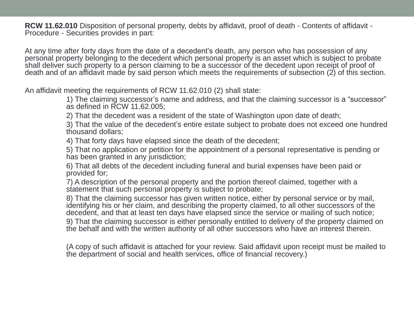**RCW 11.62.010** Disposition of personal property, debts by affidavit, proof of death - Contents of affidavit - Procedure - Securities provides in part:

At any time after forty days from the date of a decedent's death, any person who has possession of any personal property belonging to the decedent which personal property is an asset which is subject to probate shall deliver such property to a person claiming to be a successor of the decedent upon receipt of proof of death and of an affidavit made by said person which meets the requirements of subsection (2) of this section.

An affidavit meeting the requirements of RCW 11.62.010 (2) shall state:

1) The claiming successor's name and address, and that the claiming successor is a "successor" as defined in RCW 11.62.005;

2) That the decedent was a resident of the state of Washington upon date of death;

3) That the value of the decedent's entire estate subject to probate does not exceed one hundred thousand dollars;

4) That forty days have elapsed since the death of the decedent;

5) That no application or petition for the appointment of a personal representative is pending or has been granted in any jurisdiction;

6) That all debts of the decedent including funeral and burial expenses have been paid or provided for;

7) A description of the personal property and the portion thereof claimed, together with a statement that such personal property is subject to probate;

8) That the claiming successor has given written notice, either by personal service or by mail, identifying his or her claim, and describing the property claimed, to all other successors of the decedent, and that at least ten days have elapsed since the service or mailing of such notice;

9) That the claiming successor is either personally entitled to delivery of the property claimed on the behalf and with the written authority of all other successors who have an interest therein.

(A copy of such affidavit is attached for your review. Said affidavit upon receipt must be mailed to the department of social and health services, office of financial recovery.)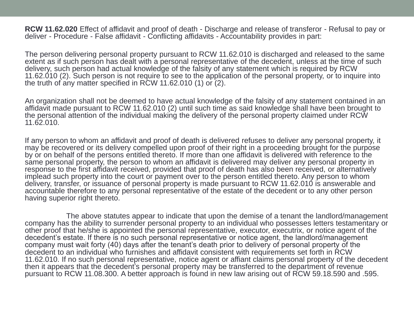**RCW 11.62.020** Effect of affidavit and proof of death - Discharge and release of transferor - Refusal to pay or deliver - Procedure - False affidavit - Conflicting affidavits - Accountability provides in part:

The person delivering personal property pursuant to RCW 11.62.010 is discharged and released to the same extent as if such person has dealt with a personal representative of the decedent, unless at the time of such delivery, such person had actual knowledge of the falsity of any statement which is required by RCW 11.62.010 (2). Such person is not require to see to the application of the personal property, or to inquire into the truth of any matter specified in RCW 11.62.010 (1) or (2).

An organization shall not be deemed to have actual knowledge of the falsity of any statement contained in an affidavit made pursuant to RCW 11.62.010 (2) until such time as said knowledge shall have been brought to the personal attention of the individual making the delivery of the personal property claimed under RCW 11.62.010.

If any person to whom an affidavit and proof of death is delivered refuses to deliver any personal property, it may be recovered or its delivery compelled upon proof of their right in a proceeding brought for the purpose by or on behalf of the persons entitled thereto. If more than one affidavit is delivered with reference to the same personal property, the person to whom an affidavit is delivered may deliver any personal property in response to the first affidavit received, provided that proof of death has also been received, or alternatively implead such property into the court or payment over to the person entitled thereto. Any person to whom delivery, transfer, or issuance of personal property is made pursuant to RCW 11.62.010 is answerable and accountable therefore to any personal representative of the estate of the decedent or to any other person having superior right thereto.

The above statutes appear to indicate that upon the demise of a tenant the landlord/management company has the ability to surrender personal property to an individual who possesses letters testamentary or other proof that he/she is appointed the personal representative, executor, executrix, or notice agent of the decedent's estate. If there is no such personal representative or notice agent, the landlord/management company must wait forty (40) days after the tenant's death prior to delivery of personal property of the decedent to an individual who furnishes and affidavit consistent with requirements set forth in RCW 11.62.010. If no such personal representative, notice agent or affiant claims personal property of the decedent then it appears that the decedent's personal property may be transferred to the department of revenue pursuant to RCW 11.08.300. A better approach is found in new law arising out of RCW 59.18.590 and .595.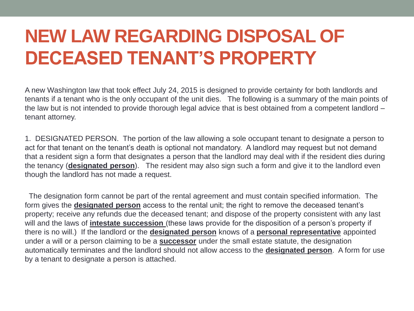### **NEW LAW REGARDING DISPOSAL OF DECEASED TENANT'S PROPERTY**

A new Washington law that took effect July 24, 2015 is designed to provide certainty for both landlords and tenants if a tenant who is the only occupant of the unit dies. The following is a summary of the main points of the law but is not intended to provide thorough legal advice that is best obtained from a competent landlord – tenant attorney.

1. DESIGNATED PERSON. The portion of the law allowing a sole occupant tenant to designate a person to act for that tenant on the tenant's death is optional not mandatory. A landlord may request but not demand that a resident sign a form that designates a person that the landlord may deal with if the resident dies during the tenancy (**designated person**). The resident may also sign such a form and give it to the landlord even though the landlord has not made a request.

The designation form cannot be part of the rental agreement and must contain specified information. The form gives the **designated person** access to the rental unit; the right to remove the deceased tenant's property; receive any refunds due the deceased tenant; and dispose of the property consistent with any last will and the laws of **intestate succession** (these laws provide for the disposition of a person's property if there is no will.) If the landlord or the **designated person** knows of a **personal representative** appointed under a will or a person claiming to be a **successor** under the small estate statute, the designation automatically terminates and the landlord should not allow access to the **designated person**. A form for use by a tenant to designate a person is attached.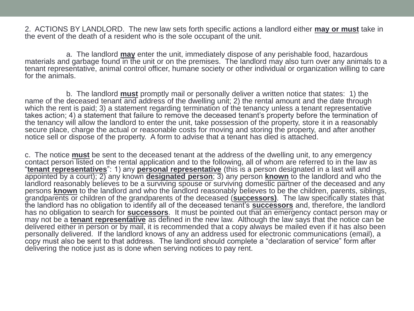2. ACTIONS BY LANDLORD. The new law sets forth specific actions a landlord either **may or must** take in the event of the death of a resident who is the sole occupant of the unit.

a. The landlord **may** enter the unit, immediately dispose of any perishable food, hazardous materials and garbage found in the unit or on the premises. The landlord may also turn over any animals to a tenant representative, animal control officer, humane society or other individual or organization willing to care for the animals.

b. The landlord **must** promptly mail or personally deliver a written notice that states: 1) the name of the deceased tenant and address of the dwelling unit; 2) the rental amount and the date through which the rent is paid; 3) a statement regarding termination of the tenancy unless a tenant representative takes action; 4) a statement that failure to remove the deceased tenant's property before the termination of the tenancy will allow the landlord to enter the unit, take possession of the property, store it in a reasonably secure place, charge the actual or reasonable costs for moving and storing the property, and after another notice sell or dispose of the property. A form to advise that a tenant has died is attached.

c. The notice **must** be sent to the deceased tenant at the address of the dwelling unit, to any emergency contact person listed on the rental application and to the following, all of whom are referred to in the law as "**tenant representatives**": 1) any **personal representative** (this is a person designated in a last will and appointed by a court); 2) any known **designated person**; 3) any person **known** to the landlord and who the landlord reasonably believes to be a surviving spouse or surviving domestic partner of the deceased and any persons **known** to the landlord and who the landlord reasonably believes to be the children, parents, siblings, grandparents or children of the grandparents of the deceased (**successors)**. The law specifically states that the landlord has no obligation to identify all of the deceased tenant's **successors** and, therefore, the landlord has no obligation to search for **successors**. It must be pointed out that an emergency contact person may or may not be a **tenant representative** as defined in the new law. Although the law says that the notice can be delivered either in person or by mail, it is recommended that a copy always be mailed even if it has also been personally delivered. If the landlord knows of any an address used for electronic communications (email), a copy must also be sent to that address. The landlord should complete a "declaration of service" form after delivering the notice just as is done when serving notices to pay rent.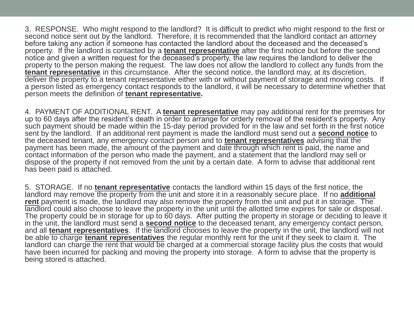3. RESPONSE. Who might respond to the landlord? It is difficult to predict who might respond to the first or second notice sent out by the landlord. Therefore, it is recommended that the landlord contact an attorney before taking any action if someone has contacted the landlord about the deceased and the deceased's property. If the landlord is contacted by a **tenant representative** after the first notice but before the second notice and given a written request for the deceased's property, the law requires the landlord to deliver the property to the person making the request. The law does not allow the landlord to collect any funds from the **tenant representative** in this circumstance. After the second notice, the landlord may, at its discretion, deliver the property to a tenant representative either with or without payment of storage and moving costs. If a person listed as emergency contact responds to the landlord, it will be necessary to determine whether that person meets the definition of **tenant representative.**

4. PAYMENT OF ADDITIONAL RENT. A **tenant representative** may pay additional rent for the premises for up to 60 days after the resident's death in order to arrange for orderly removal of the resident's property. Any such payment should be made within the 15-day period provided for in the law and set forth in the first notice sent by the landlord. If an additional rent payment is made the landlord must send out a **second notice** to the deceased tenant, any emergency contact person and to **tenant representatives** advising that the payment has been made, the amount of the payment and date through which rent is paid, the name and contact information of the person who made the payment, and a statement that the landlord may sell or dispose of the property if not removed from the unit by a certain date. A form to advise that additional rent has been paid is attached.

5. STORAGE. If no **tenant representative** contacts the landlord within 15 days of the first notice, the landlord may remove the property from the unit and store it in a reasonably secure place. If no **additional**  rent payment is made, the landlord may also remove the property from the unit and put it in storage. The landlord could also choose to leave the property in the unit until the allotted time expires for sale or disposal. The property could be in storage for up to 60 days. After putting the property in storage or deciding to leave it in the unit, the landlord must send a **second notice** to the deceased tenant, any emergency contact person, and all **tenant representatives**. If the landlord chooses to leave the property in the unit, the landlord will not be able to charge **tenant representatives** the regular monthly rent for the unit if they seek to claim it. The landlord can charge the rent that would be charged at a commercial storage facility plus the costs that would have been incurred for packing and moving the property into storage. A form to advise that the property is being stored is attached.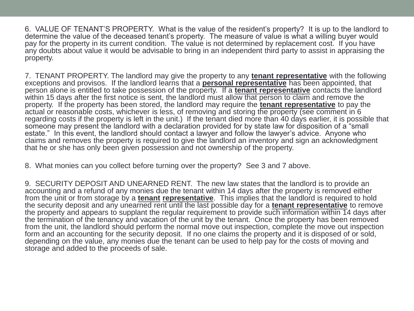6. VALUE OF TENANT'S PROPERTY. What is the value of the resident's property? It is up to the landlord to determine the value of the deceased tenant's property. The measure of value is what a willing buyer would pay for the property in its current condition. The value is not determined by replacement cost. If you have any doubts about value it would be advisable to bring in an independent third party to assist in appraising the property.

7. TENANT PROPERTY. The landlord may give the property to any **tenant representative** with the following exceptions and provisos. If the landlord learns that a **personal representative** has been appointed, that person alone is entitled to take possession of the property. If a **tenant representative** contacts the landlord within 15 days after the first notice is sent, the landlord must allow that person to claim and remove the property. If the property has been stored, the landlord may require the **tenant representative** to pay the actual or reasonable costs, whichever is less, of removing and storing the property (see comment in 6 regarding costs if the property is left in the unit.) If the tenant died more than 40 days earlier, it is possible that someone may present the landlord with a declaration provided for by state law for disposition of a "small estate." In this event, the landlord should contact a lawyer and follow the lawyer's advice. Anyone who claims and removes the property is required to give the landlord an inventory and sign an acknowledgment that he or she has only been given possession and not ownership of the property.

8. What monies can you collect before turning over the property? See 3 and 7 above.

9. SECURITY DEPOSIT AND UNEARNED RENT. The new law states that the landlord is to provide an accounting and a refund of any monies due the tenant within 14 days after the property is removed either from the unit or from storage by a **tenant representative**. This implies that the landlord is required to hold the security deposit and any unearned rent until the last possible day for a **tenant representative** to remove the property and appears to supplant the regular requirement to provide such information within 14 days after the termination of the tenancy and vacation of the unit by the tenant. Once the property has been removed from the unit, the landlord should perform the normal move out inspection, complete the move out inspection form and an accounting for the security deposit. If no one claims the property and it is disposed of or sold, depending on the value, any monies due the tenant can be used to help pay for the costs of moving and storage and added to the proceeds of sale.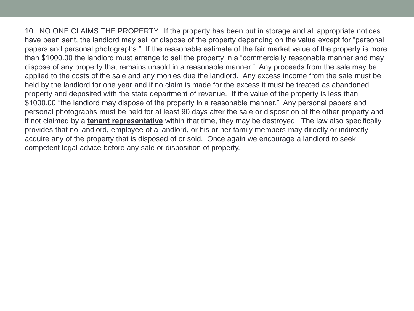10. NO ONE CLAIMS THE PROPERTY. If the property has been put in storage and all appropriate notices have been sent, the landlord may sell or dispose of the property depending on the value except for "personal papers and personal photographs." If the reasonable estimate of the fair market value of the property is more than \$1000.00 the landlord must arrange to sell the property in a "commercially reasonable manner and may dispose of any property that remains unsold in a reasonable manner." Any proceeds from the sale may be applied to the costs of the sale and any monies due the landlord. Any excess income from the sale must be held by the landlord for one year and if no claim is made for the excess it must be treated as abandoned property and deposited with the state department of revenue. If the value of the property is less than \$1000.00 "the landlord may dispose of the property in a reasonable manner." Any personal papers and personal photographs must be held for at least 90 days after the sale or disposition of the other property and if not claimed by a **tenant representative** within that time, they may be destroyed. The law also specifically provides that no landlord, employee of a landlord, or his or her family members may directly or indirectly acquire any of the property that is disposed of or sold. Once again we encourage a landlord to seek competent legal advice before any sale or disposition of property.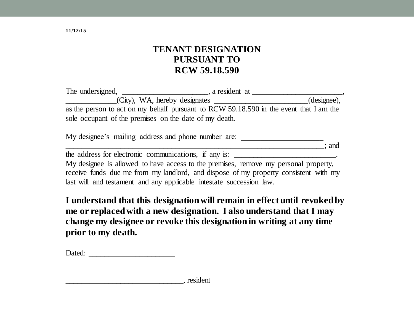### **TENANT DESIGNATION PURSUANT TO RCW 59.18.590**

| The undersigned,                                                                       | a resident at |
|----------------------------------------------------------------------------------------|---------------|
| $(City)$ , WA, hereby designates                                                       | (designee),   |
| as the person to act on my behalf pursuant to RCW 59.18.590 in the event that I am the |               |
| sole occupant of the premises on the date of my death.                                 |               |

My designee's mailing address and phone number are:

\_\_\_\_\_\_\_\_\_\_\_\_\_\_\_\_\_\_\_\_\_\_\_\_\_\_\_\_\_\_\_\_\_\_\_\_\_\_\_\_\_\_\_\_\_\_\_\_\_\_\_\_\_\_\_\_\_\_\_\_\_\_\_\_\_\_; and the address for electronic communications, if any is: \_\_\_\_\_\_\_\_\_\_\_\_\_\_\_\_\_\_\_\_\_\_\_\_\_\_\_

My designee is allowed to have access to the premises, remove my personal property, receive funds due me from my landlord, and dispose of my property consistent with my last will and testament and any applicable intestate succession law.

**I understand that this designation will remain in effect until revoked by me or replaced with a new designation. I also understand that I may change my designee or revoke this designation in writing at any time prior to my death.**

**11/12/15**

\_\_\_\_\_\_\_\_\_\_\_\_\_\_\_\_\_\_\_\_\_\_\_\_\_\_\_\_\_\_, resident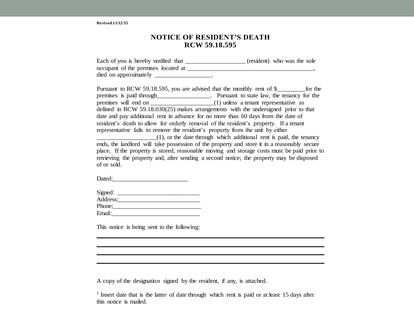**Revised 11/12/15**

#### **NOTICE OF RESIDENT'S DEATH RCW 59.18.595**

Each of you is hereby notified that \_\_\_\_\_\_\_\_\_\_\_\_\_\_\_\_\_\_\_\_\_\_ (resident) who was the sole occupant of the premises located at  $\blacksquare$ died on approximately \_\_\_\_\_\_\_\_\_\_\_\_\_\_\_\_\_\_\_.

Pursuant to RCW 59.18.595, you are advised that the monthly rent of \$  $\qquad \qquad$  for the premises is paid through\_\_\_\_\_\_\_\_\_\_\_\_\_\_\_\_\_\_. Pursuant to state law, the tenancy for the premises will end on \_\_\_\_\_\_\_\_\_\_\_\_\_\_\_\_\_\_\_\_(1) unless a tenant representative as defined in RCW 59.18.030(25) makes arrangements with the undersigned prior to that date and pay additional rent in advance for no more than 60 days from the date of resident's death to allow for orderly removal of the resident's property. If a tenant representative fails to remove the resident's property from the unit by either \_\_\_\_\_\_\_\_\_\_\_\_\_\_\_\_\_\_\_(1), or the date through which additional rent is paid, the tenancy ends, the landlord will take possession of the property and store it in a reasonably secure place. If the property is stored, reasonable moving and storage costs must be paid prior to

retrieving the property and, after sending a second notice; the property may be disposed of or sold.

Dated:\_\_\_\_\_\_\_\_\_\_\_\_\_\_\_\_\_\_\_\_\_\_\_\_

| Signed:  |  |
|----------|--|
| Address: |  |
| Phone:   |  |
| Email:   |  |

This notice is being sent to the following:

A copy of the designation signed by the resident, if any, is attached.

<sup>&</sup>lt;sup>1</sup> Insert date that is the latter of date through which rent is paid or at least 15 days after this notice is mailed.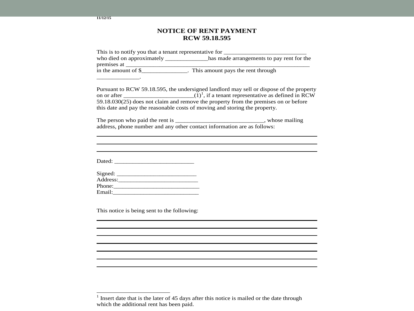#### **NOTICE OF RENT PAYMENT RCW 59.18.595**

| This is to notify you that a tenant representative for __________________________                                                                                                                                                                            |
|--------------------------------------------------------------------------------------------------------------------------------------------------------------------------------------------------------------------------------------------------------------|
| who died on approximately ____________has made arrangements to pay rent for the                                                                                                                                                                              |
|                                                                                                                                                                                                                                                              |
|                                                                                                                                                                                                                                                              |
|                                                                                                                                                                                                                                                              |
| Pursuant to RCW 59.18.595, the undersigned landlord may sell or dispose of the property<br>59.18.030(25) does not claim and remove the property from the premises on or before<br>this date and pay the reasonable costs of moving and storing the property. |
|                                                                                                                                                                                                                                                              |
|                                                                                                                                                                                                                                                              |
|                                                                                                                                                                                                                                                              |
|                                                                                                                                                                                                                                                              |
|                                                                                                                                                                                                                                                              |
|                                                                                                                                                                                                                                                              |
|                                                                                                                                                                                                                                                              |
|                                                                                                                                                                                                                                                              |
| This notice is being sent to the following:                                                                                                                                                                                                                  |
|                                                                                                                                                                                                                                                              |
|                                                                                                                                                                                                                                                              |
|                                                                                                                                                                                                                                                              |
|                                                                                                                                                                                                                                                              |
|                                                                                                                                                                                                                                                              |
|                                                                                                                                                                                                                                                              |
|                                                                                                                                                                                                                                                              |

<sup>&</sup>lt;sup>1</sup> Insert date that is the later of 45 days after this notice is mailed or the date through which the additional rent has been paid.